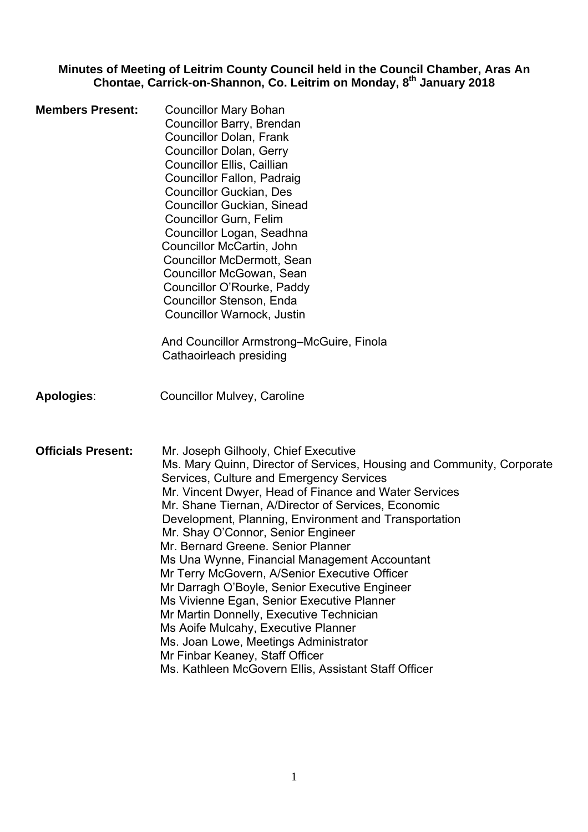#### **Minutes of Meeting of Leitrim County Council held in the Council Chamber, Aras An Chontae, Carrick-on-Shannon, Co. Leitrim on Monday, 8th January 2018**

| <b>Members Present:</b>   | <b>Councillor Mary Bohan</b><br>Councillor Barry, Brendan<br><b>Councillor Dolan, Frank</b><br><b>Councillor Dolan, Gerry</b><br>Councillor Ellis, Caillian<br>Councillor Fallon, Padraig<br><b>Councillor Guckian, Des</b><br><b>Councillor Guckian, Sinead</b><br><b>Councillor Gurn, Felim</b><br>Councillor Logan, Seadhna<br>Councillor McCartin, John<br><b>Councillor McDermott, Sean</b><br>Councillor McGowan, Sean<br>Councillor O'Rourke, Paddy<br>Councillor Stenson, Enda<br>Councillor Warnock, Justin<br>And Councillor Armstrong–McGuire, Finola<br>Cathaoirleach presiding                                                                                                                                                                                                                                             |
|---------------------------|-----------------------------------------------------------------------------------------------------------------------------------------------------------------------------------------------------------------------------------------------------------------------------------------------------------------------------------------------------------------------------------------------------------------------------------------------------------------------------------------------------------------------------------------------------------------------------------------------------------------------------------------------------------------------------------------------------------------------------------------------------------------------------------------------------------------------------------------|
|                           |                                                                                                                                                                                                                                                                                                                                                                                                                                                                                                                                                                                                                                                                                                                                                                                                                                         |
| <b>Apologies:</b>         | <b>Councillor Mulvey, Caroline</b>                                                                                                                                                                                                                                                                                                                                                                                                                                                                                                                                                                                                                                                                                                                                                                                                      |
| <b>Officials Present:</b> | Mr. Joseph Gilhooly, Chief Executive<br>Ms. Mary Quinn, Director of Services, Housing and Community, Corporate<br>Services, Culture and Emergency Services<br>Mr. Vincent Dwyer, Head of Finance and Water Services<br>Mr. Shane Tiernan, A/Director of Services, Economic<br>Development, Planning, Environment and Transportation<br>Mr. Shay O'Connor, Senior Engineer<br>Mr. Bernard Greene. Senior Planner<br>Ms Una Wynne, Financial Management Accountant<br>Mr Terry McGovern, A/Senior Executive Officer<br>Mr Darragh O'Boyle, Senior Executive Engineer<br>Ms Vivienne Egan, Senior Executive Planner<br>Mr Martin Donnelly, Executive Technician<br>Ms Aoife Mulcahy, Executive Planner<br>Ms. Joan Lowe, Meetings Administrator<br>Mr Finbar Keaney, Staff Officer<br>Ms. Kathleen McGovern Ellis, Assistant Staff Officer |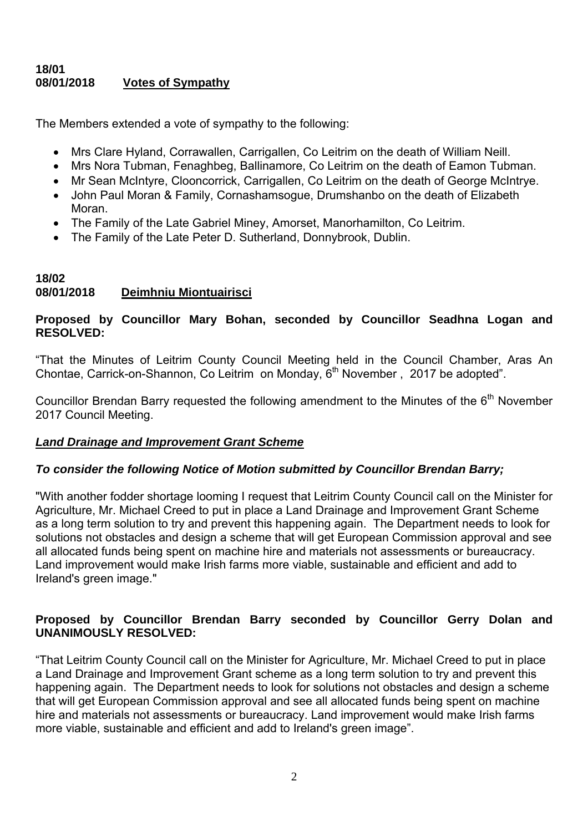#### **18/01 08/01/2018 Votes of Sympathy**

The Members extended a vote of sympathy to the following:

- Mrs Clare Hyland, Corrawallen, Carrigallen, Co Leitrim on the death of William Neill.
- Mrs Nora Tubman, Fenaghbeg, Ballinamore, Co Leitrim on the death of Eamon Tubman.
- Mr Sean McIntyre, Clooncorrick, Carrigallen, Co Leitrim on the death of George McIntrye.
- John Paul Moran & Family, Cornashamsogue, Drumshanbo on the death of Elizabeth Moran.
- The Family of the Late Gabriel Miney, Amorset, Manorhamilton, Co Leitrim.
- The Family of the Late Peter D. Sutherland, Donnybrook, Dublin.

#### **18/02 08/01/2018 Deimhniu Miontuairisci**

# **Proposed by Councillor Mary Bohan, seconded by Councillor Seadhna Logan and RESOLVED:**

"That the Minutes of Leitrim County Council Meeting held in the Council Chamber, Aras An Chontae, Carrick-on-Shannon, Co Leitrim on Monday, 6<sup>th</sup> November, 2017 be adopted".

Councillor Brendan Barry requested the following amendment to the Minutes of the  $6<sup>th</sup>$  November 2017 Council Meeting.

# *Land Drainage and Improvement Grant Scheme*

# *To consider the following Notice of Motion submitted by Councillor Brendan Barry;*

"With another fodder shortage looming I request that Leitrim County Council call on the Minister for Agriculture, Mr. Michael Creed to put in place a Land Drainage and Improvement Grant Scheme as a long term solution to try and prevent this happening again. The Department needs to look for solutions not obstacles and design a scheme that will get European Commission approval and see all allocated funds being spent on machine hire and materials not assessments or bureaucracy. Land improvement would make Irish farms more viable, sustainable and efficient and add to Ireland's green image."

# **Proposed by Councillor Brendan Barry seconded by Councillor Gerry Dolan and UNANIMOUSLY RESOLVED:**

"That Leitrim County Council call on the Minister for Agriculture, Mr. Michael Creed to put in place a Land Drainage and Improvement Grant scheme as a long term solution to try and prevent this happening again. The Department needs to look for solutions not obstacles and design a scheme that will get European Commission approval and see all allocated funds being spent on machine hire and materials not assessments or bureaucracy. Land improvement would make Irish farms more viable, sustainable and efficient and add to Ireland's green image".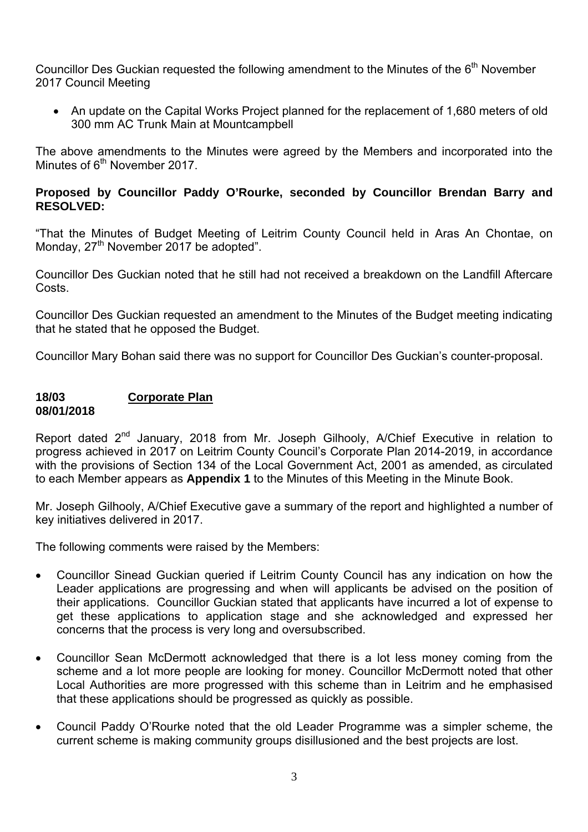Councillor Des Guckian requested the following amendment to the Minutes of the 6<sup>th</sup> November 2017 Council Meeting

• An update on the Capital Works Project planned for the replacement of 1,680 meters of old 300 mm AC Trunk Main at Mountcampbell

The above amendments to the Minutes were agreed by the Members and incorporated into the Minutes of  $6<sup>th</sup>$  November 2017.

#### **Proposed by Councillor Paddy O'Rourke, seconded by Councillor Brendan Barry and RESOLVED:**

"That the Minutes of Budget Meeting of Leitrim County Council held in Aras An Chontae, on Monday, 27<sup>th</sup> November 2017 be adopted".

Councillor Des Guckian noted that he still had not received a breakdown on the Landfill Aftercare Costs.

Councillor Des Guckian requested an amendment to the Minutes of the Budget meeting indicating that he stated that he opposed the Budget.

Councillor Mary Bohan said there was no support for Councillor Des Guckian's counter-proposal.

#### **18/03 Corporate Plan 08/01/2018**

Report dated 2<sup>nd</sup> January, 2018 from Mr. Joseph Gilhooly, A/Chief Executive in relation to progress achieved in 2017 on Leitrim County Council's Corporate Plan 2014-2019, in accordance with the provisions of Section 134 of the Local Government Act, 2001 as amended, as circulated to each Member appears as **Appendix 1** to the Minutes of this Meeting in the Minute Book.

Mr. Joseph Gilhooly, A/Chief Executive gave a summary of the report and highlighted a number of key initiatives delivered in 2017.

The following comments were raised by the Members:

- Councillor Sinead Guckian queried if Leitrim County Council has any indication on how the Leader applications are progressing and when will applicants be advised on the position of their applications. Councillor Guckian stated that applicants have incurred a lot of expense to get these applications to application stage and she acknowledged and expressed her concerns that the process is very long and oversubscribed.
- Councillor Sean McDermott acknowledged that there is a lot less money coming from the scheme and a lot more people are looking for money. Councillor McDermott noted that other Local Authorities are more progressed with this scheme than in Leitrim and he emphasised that these applications should be progressed as quickly as possible.
- Council Paddy O'Rourke noted that the old Leader Programme was a simpler scheme, the current scheme is making community groups disillusioned and the best projects are lost.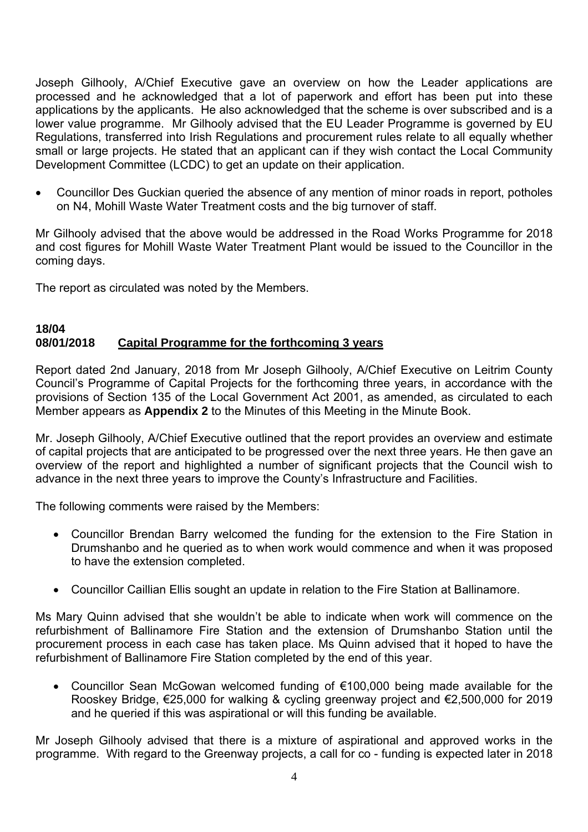Joseph Gilhooly, A/Chief Executive gave an overview on how the Leader applications are processed and he acknowledged that a lot of paperwork and effort has been put into these applications by the applicants. He also acknowledged that the scheme is over subscribed and is a lower value programme. Mr Gilhooly advised that the EU Leader Programme is governed by EU Regulations, transferred into Irish Regulations and procurement rules relate to all equally whether small or large projects. He stated that an applicant can if they wish contact the Local Community Development Committee (LCDC) to get an update on their application.

• Councillor Des Guckian queried the absence of any mention of minor roads in report, potholes on N4, Mohill Waste Water Treatment costs and the big turnover of staff.

Mr Gilhooly advised that the above would be addressed in the Road Works Programme for 2018 and cost figures for Mohill Waste Water Treatment Plant would be issued to the Councillor in the coming days.

The report as circulated was noted by the Members.

#### **18/04 08/01/2018 Capital Programme for the forthcoming 3 years**

Report dated 2nd January, 2018 from Mr Joseph Gilhooly, A/Chief Executive on Leitrim County Council's Programme of Capital Projects for the forthcoming three years, in accordance with the provisions of Section 135 of the Local Government Act 2001, as amended, as circulated to each Member appears as **Appendix 2** to the Minutes of this Meeting in the Minute Book.

Mr. Joseph Gilhooly, A/Chief Executive outlined that the report provides an overview and estimate of capital projects that are anticipated to be progressed over the next three years. He then gave an overview of the report and highlighted a number of significant projects that the Council wish to advance in the next three years to improve the County's Infrastructure and Facilities.

The following comments were raised by the Members:

- Councillor Brendan Barry welcomed the funding for the extension to the Fire Station in Drumshanbo and he queried as to when work would commence and when it was proposed to have the extension completed.
- Councillor Caillian Ellis sought an update in relation to the Fire Station at Ballinamore.

Ms Mary Quinn advised that she wouldn't be able to indicate when work will commence on the refurbishment of Ballinamore Fire Station and the extension of Drumshanbo Station until the procurement process in each case has taken place. Ms Quinn advised that it hoped to have the refurbishment of Ballinamore Fire Station completed by the end of this year.

Councillor Sean McGowan welcomed funding of  $€100,000$  being made available for the Rooskey Bridge, €25,000 for walking & cycling greenway project and €2,500,000 for 2019 and he queried if this was aspirational or will this funding be available.

Mr Joseph Gilhooly advised that there is a mixture of aspirational and approved works in the programme. With regard to the Greenway projects, a call for co - funding is expected later in 2018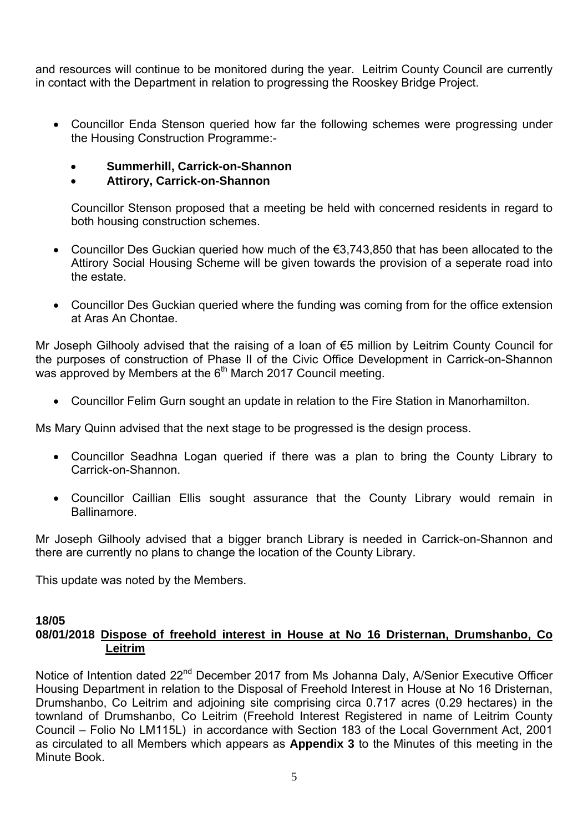and resources will continue to be monitored during the year. Leitrim County Council are currently in contact with the Department in relation to progressing the Rooskey Bridge Project.

- Councillor Enda Stenson queried how far the following schemes were progressing under the Housing Construction Programme:-
	- **Summerhill, Carrick-on-Shannon**

# • **Attirory, Carrick-on-Shannon**

Councillor Stenson proposed that a meeting be held with concerned residents in regard to both housing construction schemes.

- Councillor Des Guckian queried how much of the €3,743,850 that has been allocated to the Attirory Social Housing Scheme will be given towards the provision of a seperate road into the estate.
- Councillor Des Guckian queried where the funding was coming from for the office extension at Aras An Chontae.

Mr Joseph Gilhooly advised that the raising of a loan of €5 million by Leitrim County Council for the purposes of construction of Phase II of the Civic Office Development in Carrick-on-Shannon was approved by Members at the 6<sup>th</sup> March 2017 Council meeting.

• Councillor Felim Gurn sought an update in relation to the Fire Station in Manorhamilton.

Ms Mary Quinn advised that the next stage to be progressed is the design process.

- Councillor Seadhna Logan queried if there was a plan to bring the County Library to Carrick-on-Shannon.
- Councillor Caillian Ellis sought assurance that the County Library would remain in Ballinamore.

Mr Joseph Gilhooly advised that a bigger branch Library is needed in Carrick-on-Shannon and there are currently no plans to change the location of the County Library.

This update was noted by the Members.

# **18/05**

# **08/01/2018 Dispose of freehold interest in House at No 16 Dristernan, Drumshanbo, Co Leitrim**

Notice of Intention dated 22<sup>nd</sup> December 2017 from Ms Johanna Daly, A/Senior Executive Officer Housing Department in relation to the Disposal of Freehold Interest in House at No 16 Dristernan, Drumshanbo, Co Leitrim and adjoining site comprising circa 0.717 acres (0.29 hectares) in the townland of Drumshanbo, Co Leitrim (Freehold Interest Registered in name of Leitrim County Council – Folio No LM115L) in accordance with Section 183 of the Local Government Act, 2001 as circulated to all Members which appears as **Appendix 3** to the Minutes of this meeting in the Minute Book.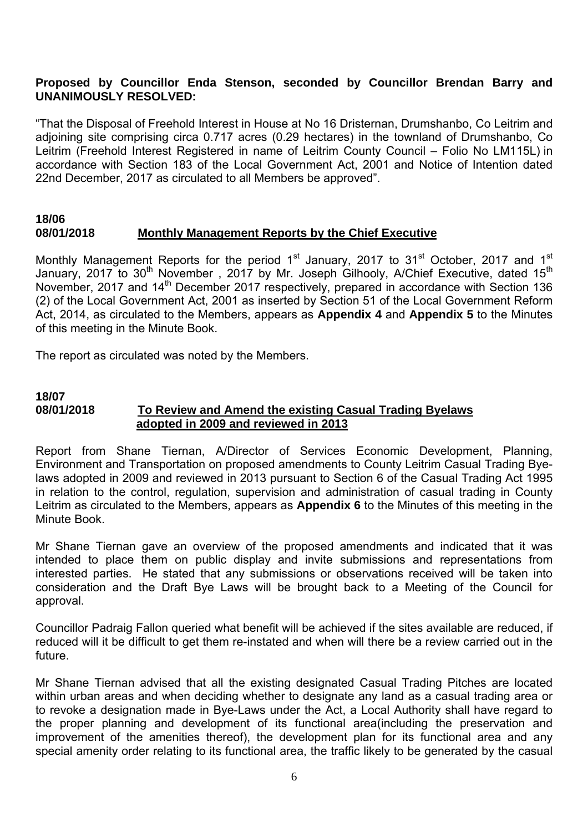#### **Proposed by Councillor Enda Stenson, seconded by Councillor Brendan Barry and UNANIMOUSLY RESOLVED:**

"That the Disposal of Freehold Interest in House at No 16 Dristernan, Drumshanbo, Co Leitrim and adjoining site comprising circa 0.717 acres (0.29 hectares) in the townland of Drumshanbo, Co Leitrim (Freehold Interest Registered in name of Leitrim County Council – Folio No LM115L) in accordance with Section 183 of the Local Government Act, 2001 and Notice of Intention dated 22nd December, 2017 as circulated to all Members be approved".

#### **18/06 08/01/2018 Monthly Management Reports by the Chief Executive**

Monthly Management Reports for the period 1<sup>st</sup> January, 2017 to 31<sup>st</sup> October, 2017 and 1<sup>st</sup> January, 2017 to 30<sup>th</sup> November, 2017 by Mr. Joseph Gilhooly, A/Chief Executive, dated 15<sup>th</sup> November, 2017 and 14<sup>th</sup> December 2017 respectively, prepared in accordance with Section 136 (2) of the Local Government Act, 2001 as inserted by Section 51 of the Local Government Reform Act, 2014, as circulated to the Members, appears as **Appendix 4** and **Appendix 5** to the Minutes of this meeting in the Minute Book.

The report as circulated was noted by the Members.

#### **18/07 08/01/2018 To Review and Amend the existing Casual Trading Byelaws adopted in 2009 and reviewed in 2013**

Report from Shane Tiernan, A/Director of Services Economic Development, Planning, Environment and Transportation on proposed amendments to County Leitrim Casual Trading Byelaws adopted in 2009 and reviewed in 2013 pursuant to Section 6 of the Casual Trading Act 1995 in relation to the control, regulation, supervision and administration of casual trading in County Leitrim as circulated to the Members, appears as **Appendix 6** to the Minutes of this meeting in the Minute Book.

Mr Shane Tiernan gave an overview of the proposed amendments and indicated that it was intended to place them on public display and invite submissions and representations from interested parties. He stated that any submissions or observations received will be taken into consideration and the Draft Bye Laws will be brought back to a Meeting of the Council for approval.

Councillor Padraig Fallon queried what benefit will be achieved if the sites available are reduced, if reduced will it be difficult to get them re-instated and when will there be a review carried out in the future.

Mr Shane Tiernan advised that all the existing designated Casual Trading Pitches are located within urban areas and when deciding whether to designate any land as a casual trading area or to revoke a designation made in Bye-Laws under the Act, a Local Authority shall have regard to the proper planning and development of its functional area(including the preservation and improvement of the amenities thereof), the development plan for its functional area and any special amenity order relating to its functional area, the traffic likely to be generated by the casual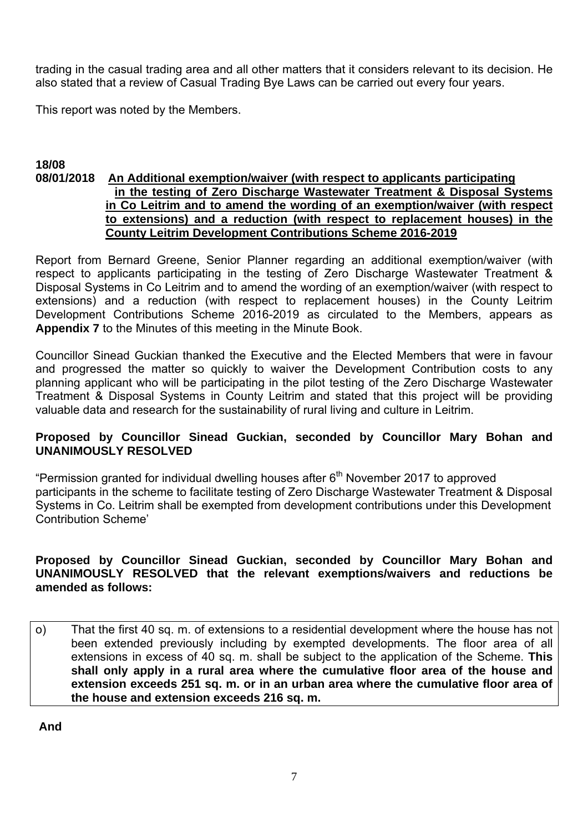trading in the casual trading area and all other matters that it considers relevant to its decision. He also stated that a review of Casual Trading Bye Laws can be carried out every four years.

This report was noted by the Members.

#### **18/08 08/01/2018 An Additional exemption/waiver (with respect to applicants participating in the testing of Zero Discharge Wastewater Treatment & Disposal Systems in Co Leitrim and to amend the wording of an exemption/waiver (with respect to extensions) and a reduction (with respect to replacement houses) in the County Leitrim Development Contributions Scheme 2016-2019**

Report from Bernard Greene, Senior Planner regarding an additional exemption/waiver (with respect to applicants participating in the testing of Zero Discharge Wastewater Treatment & Disposal Systems in Co Leitrim and to amend the wording of an exemption/waiver (with respect to extensions) and a reduction (with respect to replacement houses) in the County Leitrim Development Contributions Scheme 2016-2019 as circulated to the Members, appears as **Appendix 7** to the Minutes of this meeting in the Minute Book.

Councillor Sinead Guckian thanked the Executive and the Elected Members that were in favour and progressed the matter so quickly to waiver the Development Contribution costs to any planning applicant who will be participating in the pilot testing of the Zero Discharge Wastewater Treatment & Disposal Systems in County Leitrim and stated that this project will be providing valuable data and research for the sustainability of rural living and culture in Leitrim.

#### **Proposed by Councillor Sinead Guckian, seconded by Councillor Mary Bohan and UNANIMOUSLY RESOLVED**

"Permission granted for individual dwelling houses after  $6<sup>th</sup>$  November 2017 to approved participants in the scheme to facilitate testing of Zero Discharge Wastewater Treatment & Disposal Systems in Co. Leitrim shall be exempted from development contributions under this Development Contribution Scheme'

#### **Proposed by Councillor Sinead Guckian, seconded by Councillor Mary Bohan and UNANIMOUSLY RESOLVED that the relevant exemptions/waivers and reductions be amended as follows:**

o) That the first 40 sq. m. of extensions to a residential development where the house has not been extended previously including by exempted developments. The floor area of all extensions in excess of 40 sq. m. shall be subject to the application of the Scheme. **This shall only apply in a rural area where the cumulative floor area of the house and extension exceeds 251 sq. m. or in an urban area where the cumulative floor area of the house and extension exceeds 216 sq. m.** 

 **And**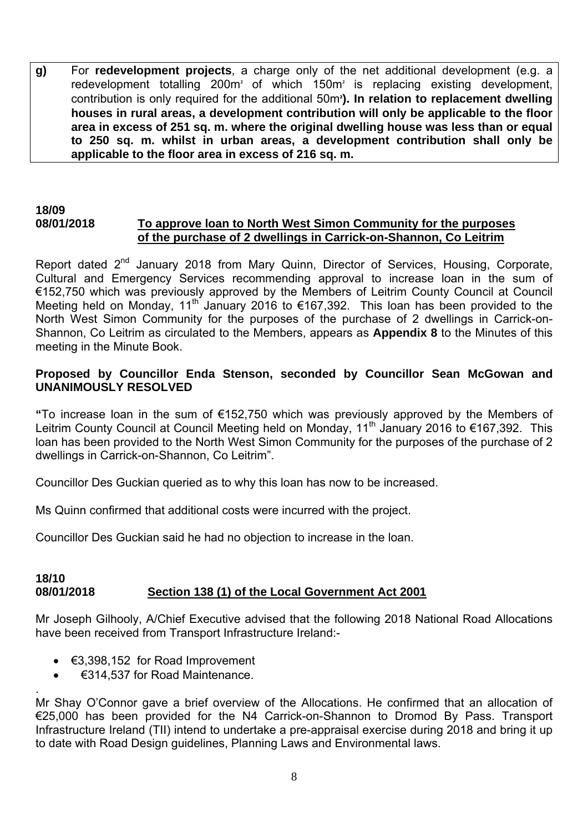**g)** For **redevelopment projects**, a charge only of the net additional development (e.g. a redevelopment totalling  $200m<sup>2</sup>$  of which 150 $m<sup>2</sup>$  is replacing existing development, contribution is only required for the additional 50m<sup>2</sup>). In relation to replacement dwelling **houses in rural areas, a development contribution will only be applicable to the floor area in excess of 251 sq. m. where the original dwelling house was less than or equal to 250 sq. m. whilst in urban areas, a development contribution shall only be applicable to the floor area in excess of 216 sq. m.** 

#### **18/09 08/01/2018 To approve loan to North West Simon Community for the purposes of the purchase of 2 dwellings in Carrick-on-Shannon, Co Leitrim**

Report dated 2<sup>nd</sup> January 2018 from Mary Quinn, Director of Services, Housing, Corporate, Cultural and Emergency Services recommending approval to increase loan in the sum of €152,750 which was previously approved by the Members of Leitrim County Council at Council Meeting held on Monday, 11<sup>th</sup> January 2016 to  $\epsilon$ 167,392. This loan has been provided to the North West Simon Community for the purposes of the purchase of 2 dwellings in Carrick-on-Shannon, Co Leitrim as circulated to the Members, appears as **Appendix 8** to the Minutes of this meeting in the Minute Book.

#### **Proposed by Councillor Enda Stenson, seconded by Councillor Sean McGowan and UNANIMOUSLY RESOLVED**

**"**To increase loan in the sum of €152,750 which was previously approved by the Members of Leitrim County Council at Council Meeting held on Monday, 11<sup>th</sup> January 2016 to €167,392. This loan has been provided to the North West Simon Community for the purposes of the purchase of 2 dwellings in Carrick-on-Shannon, Co Leitrim".

Councillor Des Guckian queried as to why this loan has now to be increased.

Ms Quinn confirmed that additional costs were incurred with the project.

Councillor Des Guckian said he had no objection to increase in the loan.

#### **18/10 08/01/2018 Section 138 (1) of the Local Government Act 2001**

Mr Joseph Gilhooly, A/Chief Executive advised that the following 2018 National Road Allocations have been received from Transport Infrastructure Ireland:-

- $\bullet$   $\in$ 3,398,152 for Road Improvement
- €314,537 for Road Maintenance.

.

Mr Shay O'Connor gave a brief overview of the Allocations. He confirmed that an allocation of €25,000 has been provided for the N4 Carrick-on-Shannon to Dromod By Pass. Transport Infrastructure Ireland (TII) intend to undertake a pre-appraisal exercise during 2018 and bring it up to date with Road Design guidelines, Planning Laws and Environmental laws.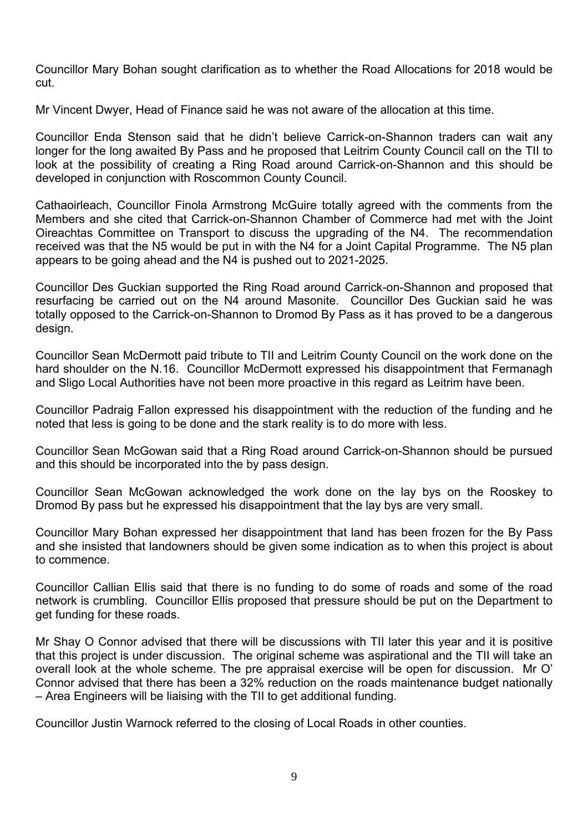Councillor Mary Bohan sought clarification as to whether the Road Allocations for 2018 would be cut.

Mr Vincent Dwyer, Head of Finance said he was not aware of the allocation at this time.

Councillor Enda Stenson said that he didn't believe Carrick-on-Shannon traders can wait any longer for the long awaited By Pass and he proposed that Leitrim County Council call on the TII to look at the possibility of creating a Ring Road around Carrick-on-Shannon and this should be developed in conjunction with Roscommon County Council.

Cathaoirleach, Councillor Finola Armstrong McGuire totally agreed with the comments from the Members and she cited that Carrick-on-Shannon Chamber of Commerce had met with the Joint Oireachtas Committee on Transport to discuss the upgrading of the N4. The recommendation received was that the N5 would be put in with the N4 for a Joint Capital Programme. The N5 plan appears to be going ahead and the N4 is pushed out to 2021-2025.

Councillor Des Guckian supported the Ring Road around Carrick-on-Shannon and proposed that resurfacing be carried out on the N4 around Masonite. Councillor Des Guckian said he was totally opposed to the Carrick-on-Shannon to Dromod By Pass as it has proved to be a dangerous design.

Councillor Sean McDermott paid tribute to TII and Leitrim County Council on the work done on the hard shoulder on the N.16. Councillor McDermott expressed his disappointment that Fermanagh and Sligo Local Authorities have not been more proactive in this regard as Leitrim have been.

Councillor Padraig Fallon expressed his disappointment with the reduction of the funding and he noted that less is going to be done and the stark reality is to do more with less.

Councillor Sean McGowan said that a Ring Road around Carrick-on-Shannon should be pursued and this should be incorporated into the by pass design.

Councillor Sean McGowan acknowledged the work done on the lay bys on the Rooskey to Dromod By pass but he expressed his disappointment that the lay bys are very small.

Councillor Mary Bohan expressed her disappointment that land has been frozen for the By Pass and she insisted that landowners should be given some indication as to when this project is about to commence.

Councillor Callian Ellis said that there is no funding to do some of roads and some of the road network is crumbling. Councillor Ellis proposed that pressure should be put on the Department to get funding for these roads.

Mr Shay O Connor advised that there will be discussions with TII later this year and it is positive that this project is under discussion. The original scheme was aspirational and the TII will take an overall look at the whole scheme. The pre appraisal exercise will be open for discussion. Mr O' Connor advised that there has been a 32% reduction on the roads maintenance budget nationally – Area Engineers will be liaising with the TII to get additional funding.

Councillor Justin Warnock referred to the closing of Local Roads in other counties.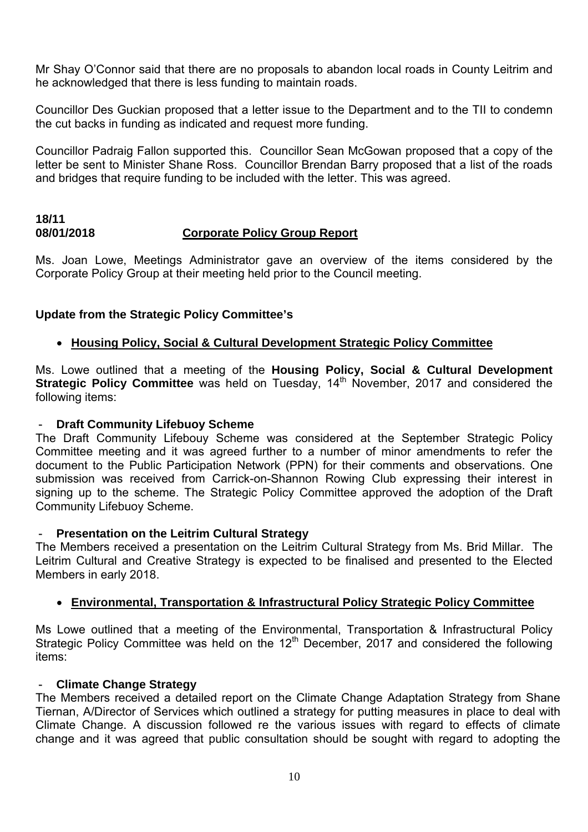Mr Shay O'Connor said that there are no proposals to abandon local roads in County Leitrim and he acknowledged that there is less funding to maintain roads.

Councillor Des Guckian proposed that a letter issue to the Department and to the TII to condemn the cut backs in funding as indicated and request more funding.

Councillor Padraig Fallon supported this. Councillor Sean McGowan proposed that a copy of the letter be sent to Minister Shane Ross. Councillor Brendan Barry proposed that a list of the roads and bridges that require funding to be included with the letter. This was agreed.

# **18/11 08/01/2018 Corporate Policy Group Report**

Ms. Joan Lowe, Meetings Administrator gave an overview of the items considered by the Corporate Policy Group at their meeting held prior to the Council meeting.

# **Update from the Strategic Policy Committee's**

#### • **Housing Policy, Social & Cultural Development Strategic Policy Committee**

Ms. Lowe outlined that a meeting of the **Housing Policy, Social & Cultural Development Strategic Policy Committee** was held on Tuesday, 14<sup>th</sup> November, 2017 and considered the following items:

#### **Draft Community Lifebuoy Scheme**

The Draft Community Lifebouy Scheme was considered at the September Strategic Policy Committee meeting and it was agreed further to a number of minor amendments to refer the document to the Public Participation Network (PPN) for their comments and observations. One submission was received from Carrick-on-Shannon Rowing Club expressing their interest in signing up to the scheme. The Strategic Policy Committee approved the adoption of the Draft Community Lifebuoy Scheme.

#### **Presentation on the Leitrim Cultural Strategy**

The Members received a presentation on the Leitrim Cultural Strategy from Ms. Brid Millar. The Leitrim Cultural and Creative Strategy is expected to be finalised and presented to the Elected Members in early 2018.

#### • **Environmental, Transportation & Infrastructural Policy Strategic Policy Committee**

Ms Lowe outlined that a meeting of the Environmental, Transportation & Infrastructural Policy Strategic Policy Committee was held on the  $12<sup>th</sup>$  December, 2017 and considered the following items:

#### - **Climate Change Strategy**

The Members received a detailed report on the Climate Change Adaptation Strategy from Shane Tiernan, A/Director of Services which outlined a strategy for putting measures in place to deal with Climate Change. A discussion followed re the various issues with regard to effects of climate change and it was agreed that public consultation should be sought with regard to adopting the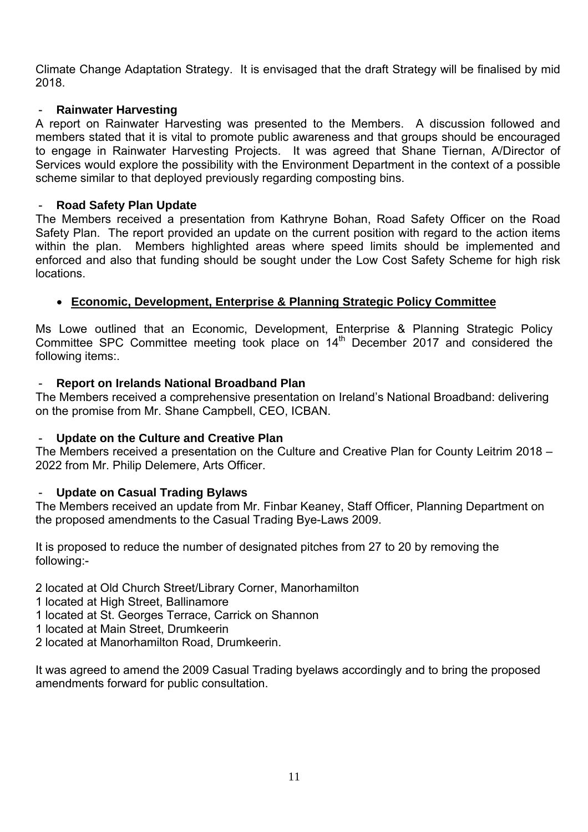Climate Change Adaptation Strategy. It is envisaged that the draft Strategy will be finalised by mid 2018.

#### - **Rainwater Harvesting**

A report on Rainwater Harvesting was presented to the Members. A discussion followed and members stated that it is vital to promote public awareness and that groups should be encouraged to engage in Rainwater Harvesting Projects. It was agreed that Shane Tiernan, A/Director of Services would explore the possibility with the Environment Department in the context of a possible scheme similar to that deployed previously regarding composting bins.

#### - **Road Safety Plan Update**

The Members received a presentation from Kathryne Bohan, Road Safety Officer on the Road Safety Plan. The report provided an update on the current position with regard to the action items within the plan. Members highlighted areas where speed limits should be implemented and enforced and also that funding should be sought under the Low Cost Safety Scheme for high risk locations.

# • **Economic, Development, Enterprise & Planning Strategic Policy Committee**

Ms Lowe outlined that an Economic, Development, Enterprise & Planning Strategic Policy Committee SPC Committee meeting took place on 14<sup>th</sup> December 2017 and considered the following items:.

#### - **Report on Irelands National Broadband Plan**

The Members received a comprehensive presentation on Ireland's National Broadband: delivering on the promise from Mr. Shane Campbell, CEO, ICBAN.

#### - **Update on the Culture and Creative Plan**

The Members received a presentation on the Culture and Creative Plan for County Leitrim 2018 – 2022 from Mr. Philip Delemere, Arts Officer.

# - **Update on Casual Trading Bylaws**

The Members received an update from Mr. Finbar Keaney, Staff Officer, Planning Department on the proposed amendments to the Casual Trading Bye-Laws 2009.

It is proposed to reduce the number of designated pitches from 27 to 20 by removing the following:-

2 located at Old Church Street/Library Corner, Manorhamilton

- 1 located at High Street, Ballinamore
- 1 located at St. Georges Terrace, Carrick on Shannon
- 1 located at Main Street, Drumkeerin
- 2 located at Manorhamilton Road, Drumkeerin.

It was agreed to amend the 2009 Casual Trading byelaws accordingly and to bring the proposed amendments forward for public consultation.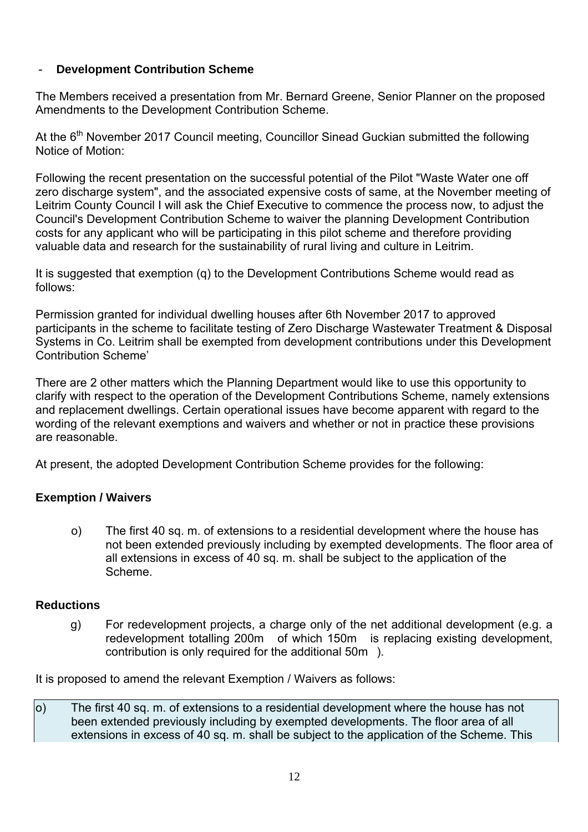# **Development Contribution Scheme**

The Members received a presentation from Mr. Bernard Greene, Senior Planner on the proposed Amendments to the Development Contribution Scheme.

At the  $6<sup>th</sup>$  November 2017 Council meeting, Councillor Sinead Guckian submitted the following Notice of Motion:

Following the recent presentation on the successful potential of the Pilot "Waste Water one off zero discharge system", and the associated expensive costs of same, at the November meeting of Leitrim County Council I will ask the Chief Executive to commence the process now, to adjust the Council's Development Contribution Scheme to waiver the planning Development Contribution costs for any applicant who will be participating in this pilot scheme and therefore providing valuable data and research for the sustainability of rural living and culture in Leitrim.

It is suggested that exemption (q) to the Development Contributions Scheme would read as follows:

Permission granted for individual dwelling houses after 6th November 2017 to approved participants in the scheme to facilitate testing of Zero Discharge Wastewater Treatment & Disposal Systems in Co. Leitrim shall be exempted from development contributions under this Development Contribution Scheme'

There are 2 other matters which the Planning Department would like to use this opportunity to clarify with respect to the operation of the Development Contributions Scheme, namely extensions and replacement dwellings. Certain operational issues have become apparent with regard to the wording of the relevant exemptions and waivers and whether or not in practice these provisions are reasonable.

At present, the adopted Development Contribution Scheme provides for the following:

# **Exemption / Waivers**

o) The first 40 sq. m. of extensions to a residential development where the house has not been extended previously including by exempted developments. The floor area of all extensions in excess of 40 sq. m. shall be subject to the application of the Scheme.

#### **Reductions**

g) For redevelopment projects, a charge only of the net additional development (e.g. a redevelopment totalling 200m of which 150m is replacing existing development, contribution is only required for the additional 50m).

It is proposed to amend the relevant Exemption / Waivers as follows:

o) The first 40 sq. m. of extensions to a residential development where the house has not been extended previously including by exempted developments. The floor area of all extensions in excess of 40 sq. m. shall be subject to the application of the Scheme. This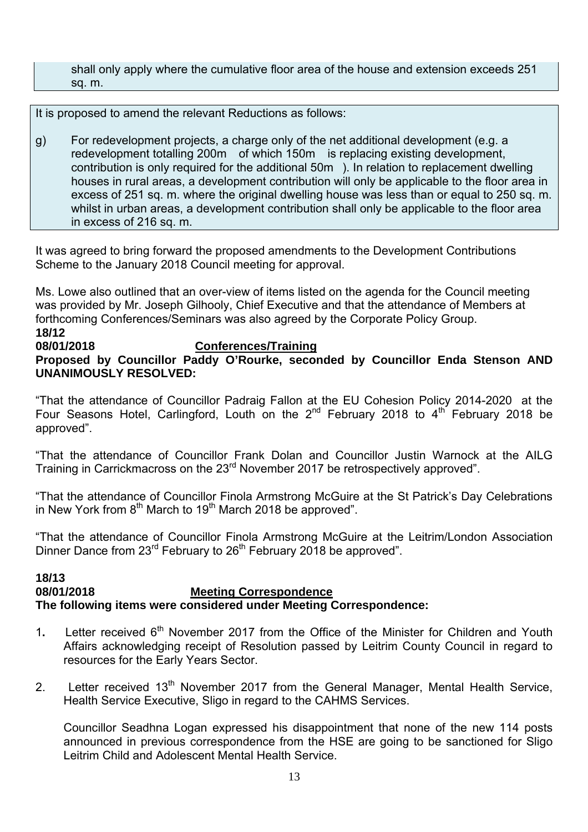shall only apply where the cumulative floor area of the house and extension exceeds 251 sq. m.

It is proposed to amend the relevant Reductions as follows:

g) For redevelopment projects, a charge only of the net additional development (e.g. a redevelopment totalling 200m of which 150m is replacing existing development, contribution is only required for the additional 50m). In relation to replacement dwelling houses in rural areas, a development contribution will only be applicable to the floor area in excess of 251 sq. m. where the original dwelling house was less than or equal to 250 sq. m. whilst in urban areas, a development contribution shall only be applicable to the floor area in excess of 216 sq. m.

It was agreed to bring forward the proposed amendments to the Development Contributions Scheme to the January 2018 Council meeting for approval.

Ms. Lowe also outlined that an over-view of items listed on the agenda for the Council meeting was provided by Mr. Joseph Gilhooly, Chief Executive and that the attendance of Members at forthcoming Conferences/Seminars was also agreed by the Corporate Policy Group. **18/12** 

#### **08/01/2018 Conferences/Training**

**Proposed by Councillor Paddy O'Rourke, seconded by Councillor Enda Stenson AND UNANIMOUSLY RESOLVED:** 

"That the attendance of Councillor Padraig Fallon at the EU Cohesion Policy 2014-2020 at the Four Seasons Hotel, Carlingford, Louth on the  $2^{nd}$  February 2018 to  $4^{th}$  February 2018 be approved".

"That the attendance of Councillor Frank Dolan and Councillor Justin Warnock at the AILG Training in Carrickmacross on the 23<sup>rd</sup> November 2017 be retrospectively approved".

"That the attendance of Councillor Finola Armstrong McGuire at the St Patrick's Day Celebrations in New York from  $8<sup>th</sup>$  March to 19<sup>th</sup> March 2018 be approved".

"That the attendance of Councillor Finola Armstrong McGuire at the Leitrim/London Association Dinner Dance from  $23^{rd}$  February to  $26^{th}$  February 2018 be approved".

#### **18/13 08/01/2018 Meeting Correspondence The following items were considered under Meeting Correspondence:**

- 1. Letter received 6<sup>th</sup> November 2017 from the Office of the Minister for Children and Youth Affairs acknowledging receipt of Resolution passed by Leitrim County Council in regard to resources for the Early Years Sector.
- 2. Letter received  $13<sup>th</sup>$  November 2017 from the General Manager, Mental Health Service, Health Service Executive, Sligo in regard to the CAHMS Services.

Councillor Seadhna Logan expressed his disappointment that none of the new 114 posts announced in previous correspondence from the HSE are going to be sanctioned for Sligo Leitrim Child and Adolescent Mental Health Service.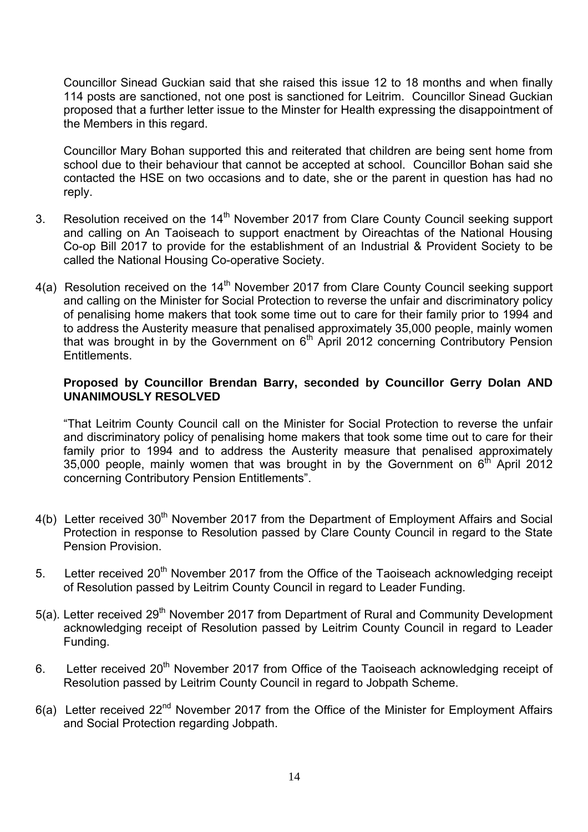Councillor Sinead Guckian said that she raised this issue 12 to 18 months and when finally 114 posts are sanctioned, not one post is sanctioned for Leitrim. Councillor Sinead Guckian proposed that a further letter issue to the Minster for Health expressing the disappointment of the Members in this regard.

Councillor Mary Bohan supported this and reiterated that children are being sent home from school due to their behaviour that cannot be accepted at school. Councillor Bohan said she contacted the HSE on two occasions and to date, she or the parent in question has had no reply.

- 3. Resolution received on the  $14<sup>th</sup>$  November 2017 from Clare County Council seeking support and calling on An Taoiseach to support enactment by Oireachtas of the National Housing Co-op Bill 2017 to provide for the establishment of an Industrial & Provident Society to be called the National Housing Co-operative Society.
- 4(a) Resolution received on the  $14<sup>th</sup>$  November 2017 from Clare County Council seeking support and calling on the Minister for Social Protection to reverse the unfair and discriminatory policy of penalising home makers that took some time out to care for their family prior to 1994 and to address the Austerity measure that penalised approximately 35,000 people, mainly women that was brought in by the Government on  $6<sup>th</sup>$  April 2012 concerning Contributory Pension **Entitlements**

#### **Proposed by Councillor Brendan Barry, seconded by Councillor Gerry Dolan AND UNANIMOUSLY RESOLVED**

"That Leitrim County Council call on the Minister for Social Protection to reverse the unfair and discriminatory policy of penalising home makers that took some time out to care for their family prior to 1994 and to address the Austerity measure that penalised approximately 35,000 people, mainly women that was brought in by the Government on  $6<sup>th</sup>$  April 2012 concerning Contributory Pension Entitlements".

- 4(b) Letter received 30<sup>th</sup> November 2017 from the Department of Employment Affairs and Social Protection in response to Resolution passed by Clare County Council in regard to the State Pension Provision.
- 5. Letter received 20<sup>th</sup> November 2017 from the Office of the Taoiseach acknowledging receipt of Resolution passed by Leitrim County Council in regard to Leader Funding.
- 5(a). Letter received  $29<sup>th</sup>$  November 2017 from Department of Rural and Community Development acknowledging receipt of Resolution passed by Leitrim County Council in regard to Leader Funding.
- 6. Letter received 20<sup>th</sup> November 2017 from Office of the Taoiseach acknowledging receipt of Resolution passed by Leitrim County Council in regard to Jobpath Scheme.
- 6(a) Letter received  $22^{nd}$  November 2017 from the Office of the Minister for Employment Affairs and Social Protection regarding Jobpath.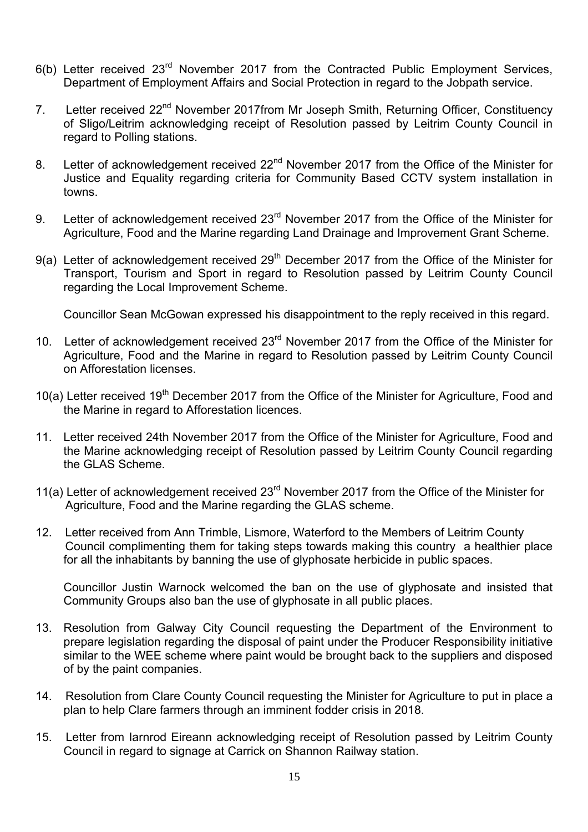- 6(b) Letter received 23rd November 2017 from the Contracted Public Employment Services, Department of Employment Affairs and Social Protection in regard to the Jobpath service.
- 7. Letter received 22<sup>nd</sup> November 2017from Mr Joseph Smith, Returning Officer, Constituency of Sligo/Leitrim acknowledging receipt of Resolution passed by Leitrim County Council in regard to Polling stations.
- 8. Letter of acknowledgement received 22<sup>nd</sup> November 2017 from the Office of the Minister for Justice and Equality regarding criteria for Community Based CCTV system installation in towns.
- 9. Letter of acknowledgement received 23<sup>rd</sup> November 2017 from the Office of the Minister for Agriculture, Food and the Marine regarding Land Drainage and Improvement Grant Scheme.
- 9(a) Letter of acknowledgement received  $29<sup>th</sup>$  December 2017 from the Office of the Minister for Transport, Tourism and Sport in regard to Resolution passed by Leitrim County Council regarding the Local Improvement Scheme.

Councillor Sean McGowan expressed his disappointment to the reply received in this regard.

- 10. Letter of acknowledgement received 23<sup>rd</sup> November 2017 from the Office of the Minister for Agriculture, Food and the Marine in regard to Resolution passed by Leitrim County Council on Afforestation licenses.
- 10(a) Letter received 19<sup>th</sup> December 2017 from the Office of the Minister for Agriculture, Food and the Marine in regard to Afforestation licences.
- 11. Letter received 24th November 2017 from the Office of the Minister for Agriculture, Food and the Marine acknowledging receipt of Resolution passed by Leitrim County Council regarding the GLAS Scheme.
- 11(a) Letter of acknowledgement received 23<sup>rd</sup> November 2017 from the Office of the Minister for Agriculture, Food and the Marine regarding the GLAS scheme.
- 12. Letter received from Ann Trimble, Lismore, Waterford to the Members of Leitrim County Council complimenting them for taking steps towards making this country a healthier place for all the inhabitants by banning the use of glyphosate herbicide in public spaces.

Councillor Justin Warnock welcomed the ban on the use of glyphosate and insisted that Community Groups also ban the use of glyphosate in all public places.

- 13. Resolution from Galway City Council requesting the Department of the Environment to prepare legislation regarding the disposal of paint under the Producer Responsibility initiative similar to the WEE scheme where paint would be brought back to the suppliers and disposed of by the paint companies.
- 14. Resolution from Clare County Council requesting the Minister for Agriculture to put in place a plan to help Clare farmers through an imminent fodder crisis in 2018.
- 15. Letter from Iarnrod Eireann acknowledging receipt of Resolution passed by Leitrim County Council in regard to signage at Carrick on Shannon Railway station.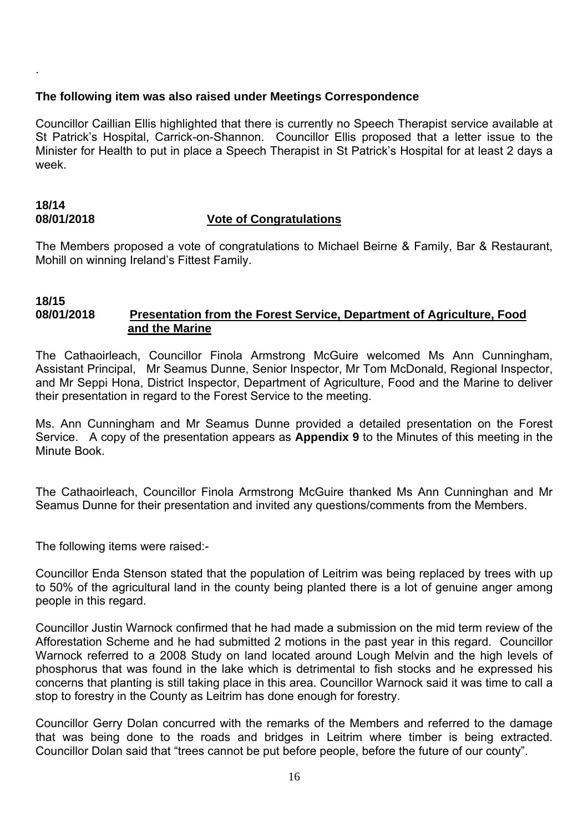#### **The following item was also raised under Meetings Correspondence**

Councillor Caillian Ellis highlighted that there is currently no Speech Therapist service available at St Patrick's Hospital, Carrick-on-Shannon. Councillor Ellis proposed that a letter issue to the Minister for Health to put in place a Speech Therapist in St Patrick's Hospital for at least 2 days a week.

#### **18/14 08/01/2018 Vote of Congratulations**

The Members proposed a vote of congratulations to Michael Beirne & Family, Bar & Restaurant, Mohill on winning Ireland's Fittest Family.

#### **18/15 08/01/2018 Presentation from the Forest Service, Department of Agriculture, Food and the Marine**

The Cathaoirleach, Councillor Finola Armstrong McGuire welcomed Ms Ann Cunningham, Assistant Principal, Mr Seamus Dunne, Senior Inspector, Mr Tom McDonald, Regional Inspector, and Mr Seppi Hona, District Inspector, Department of Agriculture, Food and the Marine to deliver their presentation in regard to the Forest Service to the meeting.

Ms. Ann Cunningham and Mr Seamus Dunne provided a detailed presentation on the Forest Service. A copy of the presentation appears as **Appendix 9** to the Minutes of this meeting in the Minute Book.

The Cathaoirleach, Councillor Finola Armstrong McGuire thanked Ms Ann Cunninghan and Mr Seamus Dunne for their presentation and invited any questions/comments from the Members.

The following items were raised:-

.

Councillor Enda Stenson stated that the population of Leitrim was being replaced by trees with up to 50% of the agricultural land in the county being planted there is a lot of genuine anger among people in this regard.

Councillor Justin Warnock confirmed that he had made a submission on the mid term review of the Afforestation Scheme and he had submitted 2 motions in the past year in this regard. Councillor Warnock referred to a 2008 Study on land located around Lough Melvin and the high levels of phosphorus that was found in the lake which is detrimental to fish stocks and he expressed his concerns that planting is still taking place in this area. Councillor Warnock said it was time to call a stop to forestry in the County as Leitrim has done enough for forestry.

Councillor Gerry Dolan concurred with the remarks of the Members and referred to the damage that was being done to the roads and bridges in Leitrim where timber is being extracted. Councillor Dolan said that "trees cannot be put before people, before the future of our county".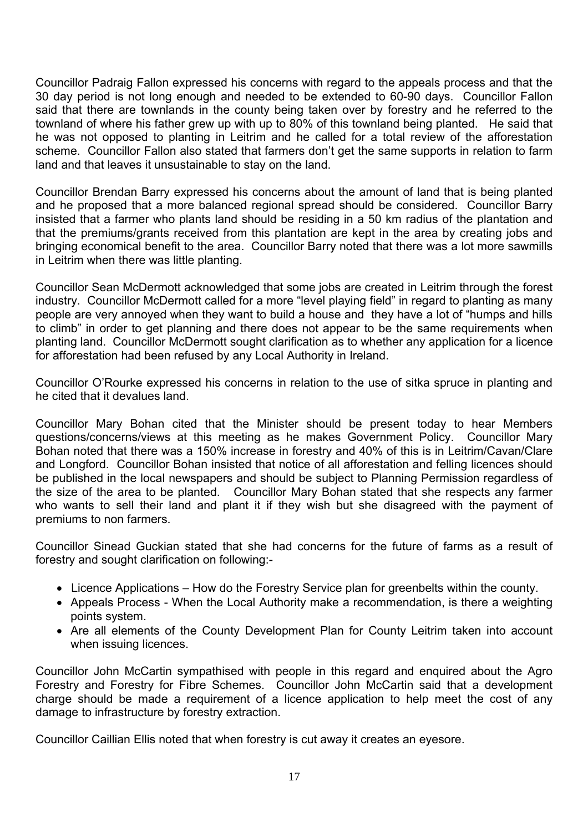Councillor Padraig Fallon expressed his concerns with regard to the appeals process and that the 30 day period is not long enough and needed to be extended to 60-90 days. Councillor Fallon said that there are townlands in the county being taken over by forestry and he referred to the townland of where his father grew up with up to 80% of this townland being planted. He said that he was not opposed to planting in Leitrim and he called for a total review of the afforestation scheme. Councillor Fallon also stated that farmers don't get the same supports in relation to farm land and that leaves it unsustainable to stay on the land.

Councillor Brendan Barry expressed his concerns about the amount of land that is being planted and he proposed that a more balanced regional spread should be considered. Councillor Barry insisted that a farmer who plants land should be residing in a 50 km radius of the plantation and that the premiums/grants received from this plantation are kept in the area by creating jobs and bringing economical benefit to the area. Councillor Barry noted that there was a lot more sawmills in Leitrim when there was little planting.

Councillor Sean McDermott acknowledged that some jobs are created in Leitrim through the forest industry. Councillor McDermott called for a more "level playing field" in regard to planting as many people are very annoyed when they want to build a house and they have a lot of "humps and hills to climb" in order to get planning and there does not appear to be the same requirements when planting land. Councillor McDermott sought clarification as to whether any application for a licence for afforestation had been refused by any Local Authority in Ireland.

Councillor O'Rourke expressed his concerns in relation to the use of sitka spruce in planting and he cited that it devalues land.

Councillor Mary Bohan cited that the Minister should be present today to hear Members questions/concerns/views at this meeting as he makes Government Policy. Councillor Mary Bohan noted that there was a 150% increase in forestry and 40% of this is in Leitrim/Cavan/Clare and Longford. Councillor Bohan insisted that notice of all afforestation and felling licences should be published in the local newspapers and should be subject to Planning Permission regardless of the size of the area to be planted. Councillor Mary Bohan stated that she respects any farmer who wants to sell their land and plant it if they wish but she disagreed with the payment of premiums to non farmers.

Councillor Sinead Guckian stated that she had concerns for the future of farms as a result of forestry and sought clarification on following:-

- Licence Applications How do the Forestry Service plan for greenbelts within the county.
- Appeals Process When the Local Authority make a recommendation, is there a weighting points system.
- Are all elements of the County Development Plan for County Leitrim taken into account when issuing licences.

Councillor John McCartin sympathised with people in this regard and enquired about the Agro Forestry and Forestry for Fibre Schemes. Councillor John McCartin said that a development charge should be made a requirement of a licence application to help meet the cost of any damage to infrastructure by forestry extraction.

Councillor Caillian Ellis noted that when forestry is cut away it creates an eyesore.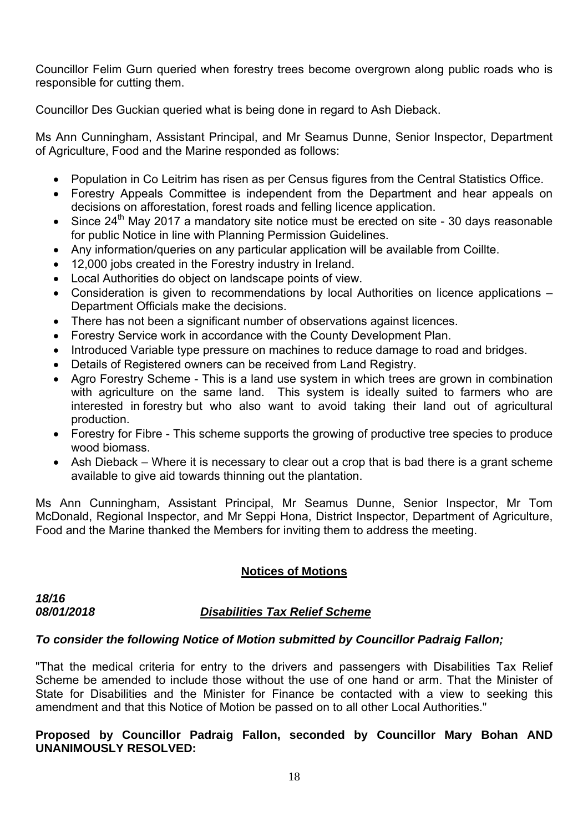Councillor Felim Gurn queried when forestry trees become overgrown along public roads who is responsible for cutting them.

Councillor Des Guckian queried what is being done in regard to Ash Dieback.

Ms Ann Cunningham, Assistant Principal, and Mr Seamus Dunne, Senior Inspector, Department of Agriculture, Food and the Marine responded as follows:

- Population in Co Leitrim has risen as per Census figures from the Central Statistics Office.
- Forestry Appeals Committee is independent from the Department and hear appeals on decisions on afforestation, forest roads and felling licence application.
- Since  $24^{\text{th}}$  May 2017 a mandatory site notice must be erected on site 30 days reasonable for public Notice in line with Planning Permission Guidelines.
- Any information/queries on any particular application will be available from Coillte.
- 12,000 jobs created in the Forestry industry in Ireland.
- Local Authorities do object on landscape points of view.
- Consideration is given to recommendations by local Authorities on licence applications Department Officials make the decisions.
- There has not been a significant number of observations against licences.
- Forestry Service work in accordance with the County Development Plan.
- Introduced Variable type pressure on machines to reduce damage to road and bridges.
- Details of Registered owners can be received from Land Registry.
- Agro Forestry Scheme This is a land use system in which trees are grown in combination with agriculture on the same land. This system is ideally suited to farmers who are interested in forestry but who also want to avoid taking their land out of agricultural production.
- Forestry for Fibre This scheme supports the growing of productive tree species to produce wood biomass.
- Ash Dieback Where it is necessary to clear out a crop that is bad there is a grant scheme available to give aid towards thinning out the plantation.

Ms Ann Cunningham, Assistant Principal, Mr Seamus Dunne, Senior Inspector, Mr Tom McDonald, Regional Inspector, and Mr Seppi Hona, District Inspector, Department of Agriculture, Food and the Marine thanked the Members for inviting them to address the meeting.

# **Notices of Motions**

*18/16* 

# *08/01/2018 Disabilities Tax Relief Scheme*

# *To consider the following Notice of Motion submitted by Councillor Padraig Fallon;*

"That the medical criteria for entry to the drivers and passengers with Disabilities Tax Relief Scheme be amended to include those without the use of one hand or arm. That the Minister of State for Disabilities and the Minister for Finance be contacted with a view to seeking this amendment and that this Notice of Motion be passed on to all other Local Authorities."

#### **Proposed by Councillor Padraig Fallon, seconded by Councillor Mary Bohan AND UNANIMOUSLY RESOLVED:**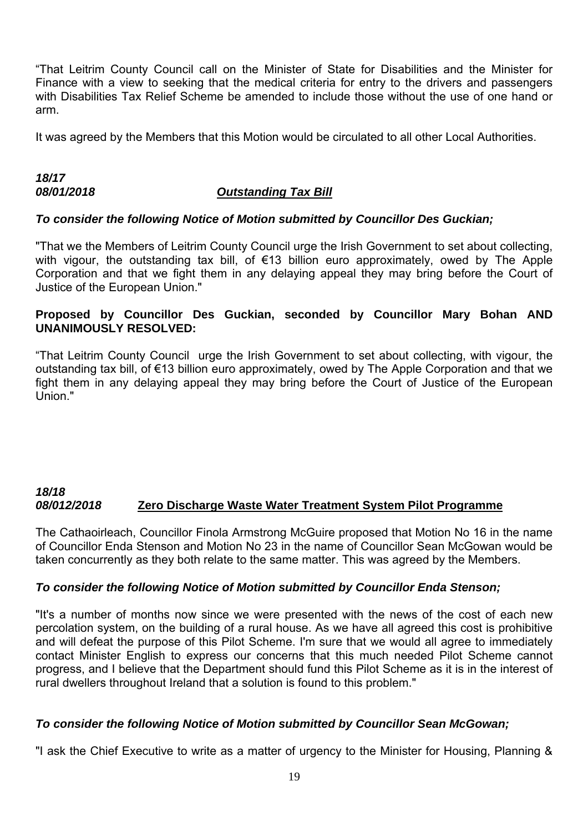"That Leitrim County Council call on the Minister of State for Disabilities and the Minister for Finance with a view to seeking that the medical criteria for entry to the drivers and passengers with Disabilities Tax Relief Scheme be amended to include those without the use of one hand or arm.

It was agreed by the Members that this Motion would be circulated to all other Local Authorities.

# *18/17 08/01/2018 Outstanding Tax Bill*

#### *To consider the following Notice of Motion submitted by Councillor Des Guckian;*

"That we the Members of Leitrim County Council urge the Irish Government to set about collecting, with vigour, the outstanding tax bill, of €13 billion euro approximately, owed by The Apple Corporation and that we fight them in any delaying appeal they may bring before the Court of Justice of the European Union."

#### **Proposed by Councillor Des Guckian, seconded by Councillor Mary Bohan AND UNANIMOUSLY RESOLVED:**

"That Leitrim County Council urge the Irish Government to set about collecting, with vigour, the outstanding tax bill, of €13 billion euro approximately, owed by The Apple Corporation and that we fight them in any delaying appeal they may bring before the Court of Justice of the European Union."

#### *18/18 08/012/2018* **Zero Discharge Waste Water Treatment System Pilot Programme**

The Cathaoirleach, Councillor Finola Armstrong McGuire proposed that Motion No 16 in the name of Councillor Enda Stenson and Motion No 23 in the name of Councillor Sean McGowan would be taken concurrently as they both relate to the same matter. This was agreed by the Members.

# *To consider the following Notice of Motion submitted by Councillor Enda Stenson;*

"It's a number of months now since we were presented with the news of the cost of each new percolation system, on the building of a rural house. As we have all agreed this cost is prohibitive and will defeat the purpose of this Pilot Scheme. I'm sure that we would all agree to immediately contact Minister English to express our concerns that this much needed Pilot Scheme cannot progress, and I believe that the Department should fund this Pilot Scheme as it is in the interest of rural dwellers throughout Ireland that a solution is found to this problem."

# *To consider the following Notice of Motion submitted by Councillor Sean McGowan;*

"I ask the Chief Executive to write as a matter of urgency to the Minister for Housing, Planning &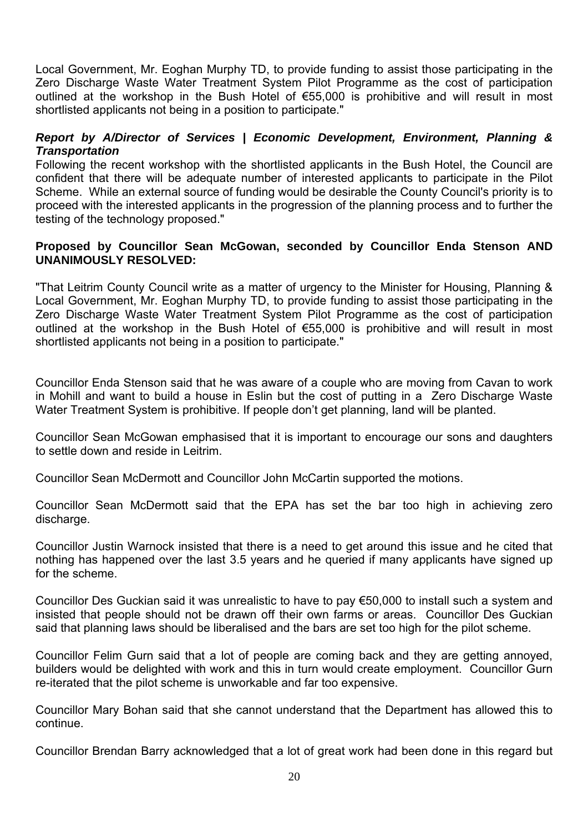Local Government, Mr. Eoghan Murphy TD, to provide funding to assist those participating in the Zero Discharge Waste Water Treatment System Pilot Programme as the cost of participation outlined at the workshop in the Bush Hotel of €55,000 is prohibitive and will result in most shortlisted applicants not being in a position to participate."

#### *Report by A/Director of Services | Economic Development, Environment, Planning & Transportation*

Following the recent workshop with the shortlisted applicants in the Bush Hotel, the Council are confident that there will be adequate number of interested applicants to participate in the Pilot Scheme. While an external source of funding would be desirable the County Council's priority is to proceed with the interested applicants in the progression of the planning process and to further the testing of the technology proposed."

#### **Proposed by Councillor Sean McGowan, seconded by Councillor Enda Stenson AND UNANIMOUSLY RESOLVED:**

"That Leitrim County Council write as a matter of urgency to the Minister for Housing, Planning & Local Government, Mr. Eoghan Murphy TD, to provide funding to assist those participating in the Zero Discharge Waste Water Treatment System Pilot Programme as the cost of participation outlined at the workshop in the Bush Hotel of €55,000 is prohibitive and will result in most shortlisted applicants not being in a position to participate."

Councillor Enda Stenson said that he was aware of a couple who are moving from Cavan to work in Mohill and want to build a house in Eslin but the cost of putting in a Zero Discharge Waste Water Treatment System is prohibitive. If people don't get planning, land will be planted.

Councillor Sean McGowan emphasised that it is important to encourage our sons and daughters to settle down and reside in Leitrim.

Councillor Sean McDermott and Councillor John McCartin supported the motions.

Councillor Sean McDermott said that the EPA has set the bar too high in achieving zero discharge.

Councillor Justin Warnock insisted that there is a need to get around this issue and he cited that nothing has happened over the last 3.5 years and he queried if many applicants have signed up for the scheme.

Councillor Des Guckian said it was unrealistic to have to pay €50,000 to install such a system and insisted that people should not be drawn off their own farms or areas. Councillor Des Guckian said that planning laws should be liberalised and the bars are set too high for the pilot scheme.

Councillor Felim Gurn said that a lot of people are coming back and they are getting annoyed, builders would be delighted with work and this in turn would create employment. Councillor Gurn re-iterated that the pilot scheme is unworkable and far too expensive.

Councillor Mary Bohan said that she cannot understand that the Department has allowed this to continue.

Councillor Brendan Barry acknowledged that a lot of great work had been done in this regard but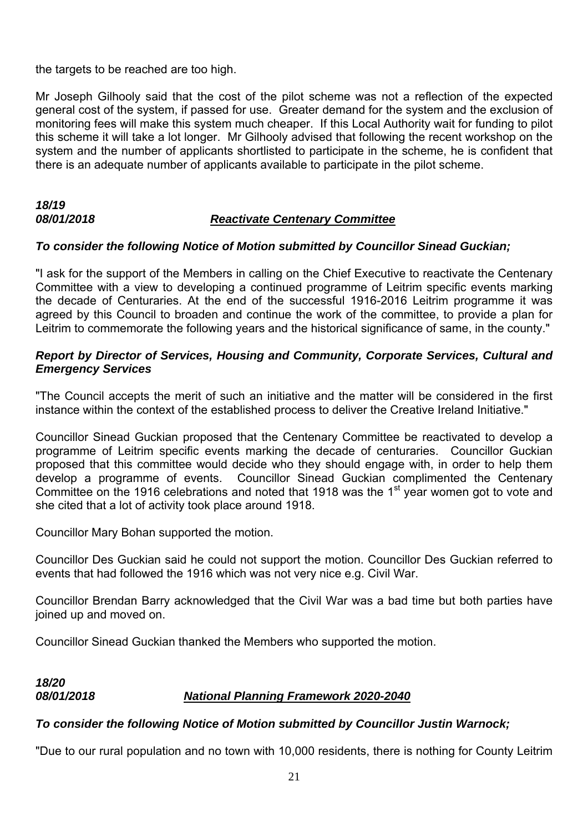the targets to be reached are too high.

Mr Joseph Gilhooly said that the cost of the pilot scheme was not a reflection of the expected general cost of the system, if passed for use. Greater demand for the system and the exclusion of monitoring fees will make this system much cheaper. If this Local Authority wait for funding to pilot this scheme it will take a lot longer. Mr Gilhooly advised that following the recent workshop on the system and the number of applicants shortlisted to participate in the scheme, he is confident that there is an adequate number of applicants available to participate in the pilot scheme.

#### *18/19 08/01/2018 Reactivate Centenary Committee*

#### *To consider the following Notice of Motion submitted by Councillor Sinead Guckian;*

"I ask for the support of the Members in calling on the Chief Executive to reactivate the Centenary Committee with a view to developing a continued programme of Leitrim specific events marking the decade of Centuraries. At the end of the successful 1916-2016 Leitrim programme it was agreed by this Council to broaden and continue the work of the committee, to provide a plan for Leitrim to commemorate the following years and the historical significance of same, in the county."

#### *Report by Director of Services, Housing and Community, Corporate Services, Cultural and Emergency Services*

"The Council accepts the merit of such an initiative and the matter will be considered in the first instance within the context of the established process to deliver the Creative Ireland Initiative."

Councillor Sinead Guckian proposed that the Centenary Committee be reactivated to develop a programme of Leitrim specific events marking the decade of centuraries. Councillor Guckian proposed that this committee would decide who they should engage with, in order to help them develop a programme of events. Councillor Sinead Guckian complimented the Centenary Committee on the 1916 celebrations and noted that 1918 was the 1<sup>st</sup> year women got to vote and she cited that a lot of activity took place around 1918.

Councillor Mary Bohan supported the motion.

Councillor Des Guckian said he could not support the motion. Councillor Des Guckian referred to events that had followed the 1916 which was not very nice e.g. Civil War.

Councillor Brendan Barry acknowledged that the Civil War was a bad time but both parties have joined up and moved on.

Councillor Sinead Guckian thanked the Members who supported the motion.

# *18/20 08/01/2018 National Planning Framework 2020-2040*

# *To consider the following Notice of Motion submitted by Councillor Justin Warnock;*

"Due to our rural population and no town with 10,000 residents, there is nothing for County Leitrim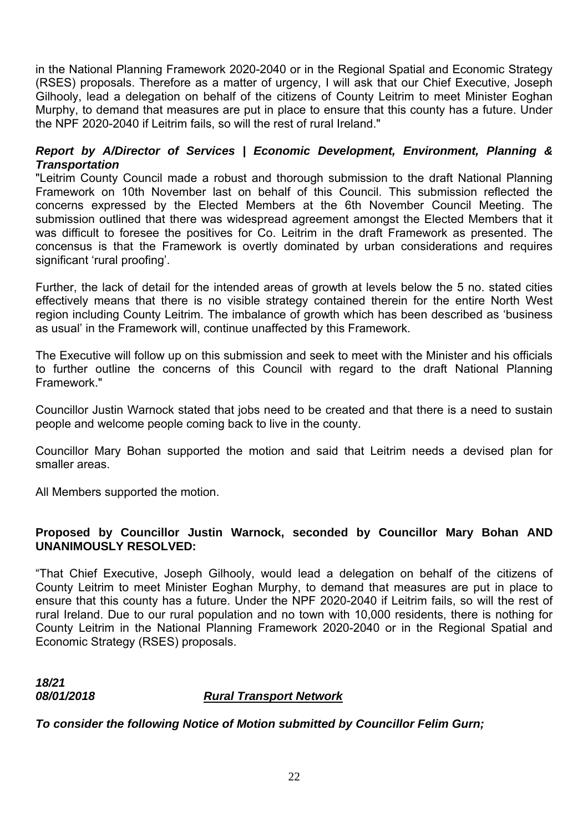in the National Planning Framework 2020-2040 or in the Regional Spatial and Economic Strategy (RSES) proposals. Therefore as a matter of urgency, I will ask that our Chief Executive, Joseph Gilhooly, lead a delegation on behalf of the citizens of County Leitrim to meet Minister Eoghan Murphy, to demand that measures are put in place to ensure that this county has a future. Under the NPF 2020-2040 if Leitrim fails, so will the rest of rural Ireland."

#### *Report by A/Director of Services | Economic Development, Environment, Planning & Transportation*

"Leitrim County Council made a robust and thorough submission to the draft National Planning Framework on 10th November last on behalf of this Council. This submission reflected the concerns expressed by the Elected Members at the 6th November Council Meeting. The submission outlined that there was widespread agreement amongst the Elected Members that it was difficult to foresee the positives for Co. Leitrim in the draft Framework as presented. The concensus is that the Framework is overtly dominated by urban considerations and requires significant 'rural proofing'.

Further, the lack of detail for the intended areas of growth at levels below the 5 no. stated cities effectively means that there is no visible strategy contained therein for the entire North West region including County Leitrim. The imbalance of growth which has been described as 'business as usual' in the Framework will, continue unaffected by this Framework.

The Executive will follow up on this submission and seek to meet with the Minister and his officials to further outline the concerns of this Council with regard to the draft National Planning Framework."

Councillor Justin Warnock stated that jobs need to be created and that there is a need to sustain people and welcome people coming back to live in the county.

Councillor Mary Bohan supported the motion and said that Leitrim needs a devised plan for smaller areas.

All Members supported the motion.

#### **Proposed by Councillor Justin Warnock, seconded by Councillor Mary Bohan AND UNANIMOUSLY RESOLVED:**

"That Chief Executive, Joseph Gilhooly, would lead a delegation on behalf of the citizens of County Leitrim to meet Minister Eoghan Murphy, to demand that measures are put in place to ensure that this county has a future. Under the NPF 2020-2040 if Leitrim fails, so will the rest of rural Ireland. Due to our rural population and no town with 10,000 residents, there is nothing for County Leitrim in the National Planning Framework 2020-2040 or in the Regional Spatial and Economic Strategy (RSES) proposals.

| 18/21      |                                |
|------------|--------------------------------|
| 08/01/2018 | <b>Rural Transport Network</b> |

*To consider the following Notice of Motion submitted by Councillor Felim Gurn;*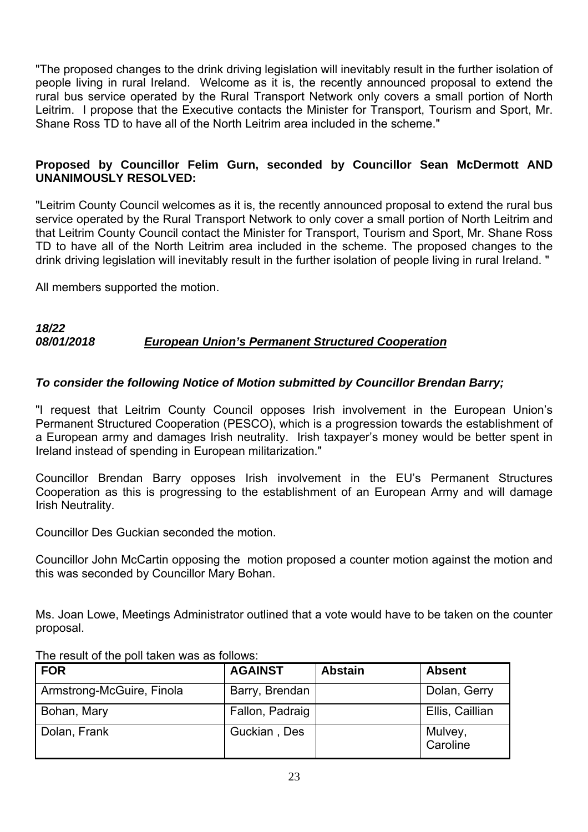"The proposed changes to the drink driving legislation will inevitably result in the further isolation of people living in rural Ireland. Welcome as it is, the recently announced proposal to extend the rural bus service operated by the Rural Transport Network only covers a small portion of North Leitrim. I propose that the Executive contacts the Minister for Transport, Tourism and Sport, Mr. Shane Ross TD to have all of the North Leitrim area included in the scheme."

#### **Proposed by Councillor Felim Gurn, seconded by Councillor Sean McDermott AND UNANIMOUSLY RESOLVED:**

"Leitrim County Council welcomes as it is, the recently announced proposal to extend the rural bus service operated by the Rural Transport Network to only cover a small portion of North Leitrim and that Leitrim County Council contact the Minister for Transport, Tourism and Sport, Mr. Shane Ross TD to have all of the North Leitrim area included in the scheme. The proposed changes to the drink driving legislation will inevitably result in the further isolation of people living in rural Ireland. "

All members supported the motion.

#### *18/22 08/01/2018 European Union's Permanent Structured Cooperation*

#### *To consider the following Notice of Motion submitted by Councillor Brendan Barry;*

"I request that Leitrim County Council opposes Irish involvement in the European Union's Permanent Structured Cooperation (PESCO), which is a progression towards the establishment of a European army and damages Irish neutrality. Irish taxpayer's money would be better spent in Ireland instead of spending in European militarization."

Councillor Brendan Barry opposes Irish involvement in the EU's Permanent Structures Cooperation as this is progressing to the establishment of an European Army and will damage Irish Neutrality.

Councillor Des Guckian seconded the motion.

Councillor John McCartin opposing the motion proposed a counter motion against the motion and this was seconded by Councillor Mary Bohan.

Ms. Joan Lowe, Meetings Administrator outlined that a vote would have to be taken on the counter proposal.

| FOR                       | <b>AGAINST</b>  | <b>Abstain</b> | <b>Absent</b>       |
|---------------------------|-----------------|----------------|---------------------|
| Armstrong-McGuire, Finola | Barry, Brendan  |                | Dolan, Gerry        |
| Bohan, Mary               | Fallon, Padraig |                | Ellis, Caillian     |
| Dolan, Frank              | Guckian, Des    |                | Mulvey,<br>Caroline |

The result of the poll taken was as follows: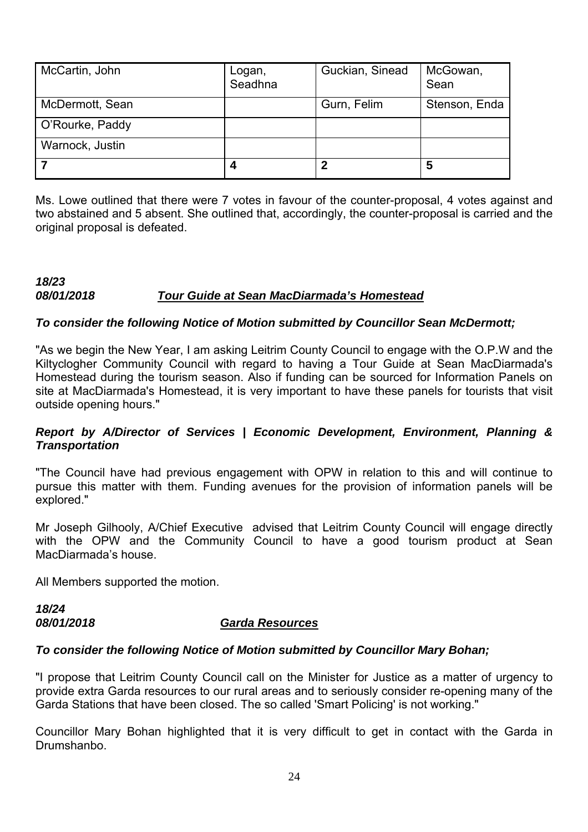| McCartin, John  | Logan,<br>Seadhna | Guckian, Sinead | McGowan,<br>Sean |
|-----------------|-------------------|-----------------|------------------|
| McDermott, Sean |                   | Gurn, Felim     | Stenson, Enda    |
| O'Rourke, Paddy |                   |                 |                  |
| Warnock, Justin |                   |                 |                  |
|                 |                   |                 | 5                |

Ms. Lowe outlined that there were 7 votes in favour of the counter-proposal, 4 votes against and two abstained and 5 absent. She outlined that, accordingly, the counter-proposal is carried and the original proposal is defeated.

#### *18/23 08/01/2018 Tour Guide at Sean MacDiarmada's Homestead*

#### *To consider the following Notice of Motion submitted by Councillor Sean McDermott;*

"As we begin the New Year, I am asking Leitrim County Council to engage with the O.P.W and the Kiltyclogher Community Council with regard to having a Tour Guide at Sean MacDiarmada's Homestead during the tourism season. Also if funding can be sourced for Information Panels on site at MacDiarmada's Homestead, it is very important to have these panels for tourists that visit outside opening hours."

#### *Report by A/Director of Services | Economic Development, Environment, Planning & Transportation*

"The Council have had previous engagement with OPW in relation to this and will continue to pursue this matter with them. Funding avenues for the provision of information panels will be explored."

Mr Joseph Gilhooly, A/Chief Executive advised that Leitrim County Council will engage directly with the OPW and the Community Council to have a good tourism product at Sean MacDiarmada's house.

All Members supported the motion.

*18/24* 

#### *08/01/2018 Garda Resources*

#### *To consider the following Notice of Motion submitted by Councillor Mary Bohan;*

"I propose that Leitrim County Council call on the Minister for Justice as a matter of urgency to provide extra Garda resources to our rural areas and to seriously consider re-opening many of the Garda Stations that have been closed. The so called 'Smart Policing' is not working."

Councillor Mary Bohan highlighted that it is very difficult to get in contact with the Garda in Drumshanbo.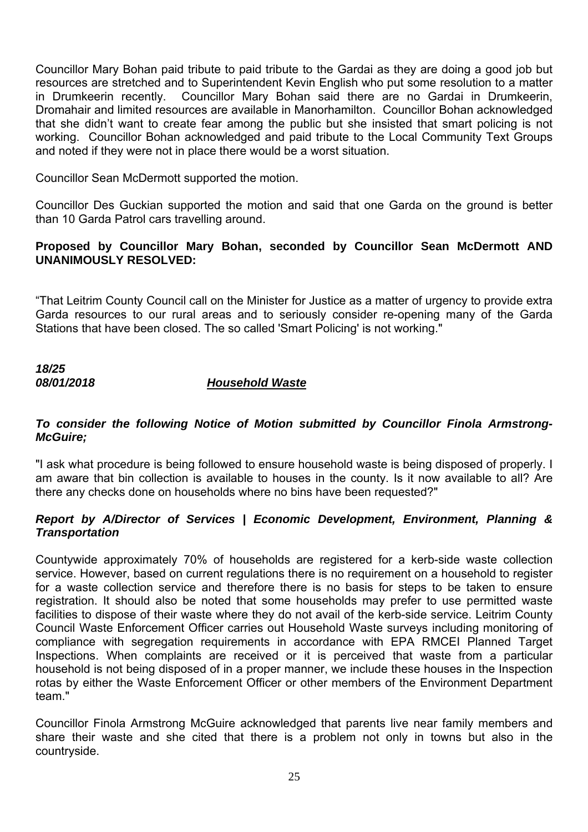Councillor Mary Bohan paid tribute to paid tribute to the Gardai as they are doing a good job but resources are stretched and to Superintendent Kevin English who put some resolution to a matter in Drumkeerin recently. Councillor Mary Bohan said there are no Gardai in Drumkeerin, Dromahair and limited resources are available in Manorhamilton. Councillor Bohan acknowledged that she didn't want to create fear among the public but she insisted that smart policing is not working. Councillor Bohan acknowledged and paid tribute to the Local Community Text Groups and noted if they were not in place there would be a worst situation.

Councillor Sean McDermott supported the motion.

Councillor Des Guckian supported the motion and said that one Garda on the ground is better than 10 Garda Patrol cars travelling around.

#### **Proposed by Councillor Mary Bohan, seconded by Councillor Sean McDermott AND UNANIMOUSLY RESOLVED:**

"That Leitrim County Council call on the Minister for Justice as a matter of urgency to provide extra Garda resources to our rural areas and to seriously consider re-opening many of the Garda Stations that have been closed. The so called 'Smart Policing' is not working."

*18/25* 

#### *08/01/2018 Household Waste*

#### *To consider the following Notice of Motion submitted by Councillor Finola Armstrong-McGuire;*

"I ask what procedure is being followed to ensure household waste is being disposed of properly. I am aware that bin collection is available to houses in the county. Is it now available to all? Are there any checks done on households where no bins have been requested?"

#### *Report by A/Director of Services | Economic Development, Environment, Planning & Transportation*

Countywide approximately 70% of households are registered for a kerb-side waste collection service. However, based on current regulations there is no requirement on a household to register for a waste collection service and therefore there is no basis for steps to be taken to ensure registration. It should also be noted that some households may prefer to use permitted waste facilities to dispose of their waste where they do not avail of the kerb-side service. Leitrim County Council Waste Enforcement Officer carries out Household Waste surveys including monitoring of compliance with segregation requirements in accordance with EPA RMCEI Planned Target Inspections. When complaints are received or it is perceived that waste from a particular household is not being disposed of in a proper manner, we include these houses in the Inspection rotas by either the Waste Enforcement Officer or other members of the Environment Department team."

Councillor Finola Armstrong McGuire acknowledged that parents live near family members and share their waste and she cited that there is a problem not only in towns but also in the countryside.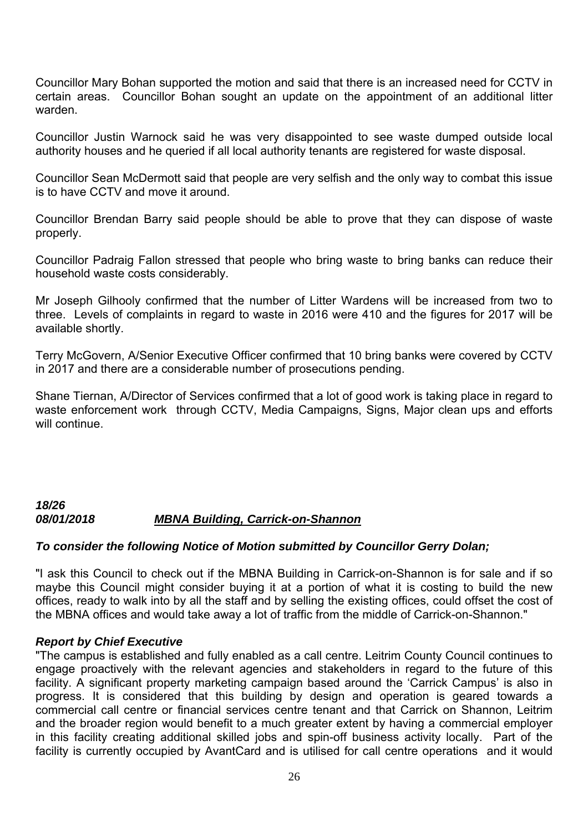Councillor Mary Bohan supported the motion and said that there is an increased need for CCTV in certain areas. Councillor Bohan sought an update on the appointment of an additional litter warden.

Councillor Justin Warnock said he was very disappointed to see waste dumped outside local authority houses and he queried if all local authority tenants are registered for waste disposal.

Councillor Sean McDermott said that people are very selfish and the only way to combat this issue is to have CCTV and move it around.

Councillor Brendan Barry said people should be able to prove that they can dispose of waste properly.

Councillor Padraig Fallon stressed that people who bring waste to bring banks can reduce their household waste costs considerably.

Mr Joseph Gilhooly confirmed that the number of Litter Wardens will be increased from two to three. Levels of complaints in regard to waste in 2016 were 410 and the figures for 2017 will be available shortly.

Terry McGovern, A/Senior Executive Officer confirmed that 10 bring banks were covered by CCTV in 2017 and there are a considerable number of prosecutions pending.

Shane Tiernan, A/Director of Services confirmed that a lot of good work is taking place in regard to waste enforcement work through CCTV, Media Campaigns, Signs, Major clean ups and efforts will continue.

# *18/26 08/01/2018 MBNA Building, Carrick-on-Shannon*

# *To consider the following Notice of Motion submitted by Councillor Gerry Dolan;*

"I ask this Council to check out if the MBNA Building in Carrick-on-Shannon is for sale and if so maybe this Council might consider buying it at a portion of what it is costing to build the new offices, ready to walk into by all the staff and by selling the existing offices, could offset the cost of the MBNA offices and would take away a lot of traffic from the middle of Carrick-on-Shannon."

#### *Report by Chief Executive*

"The campus is established and fully enabled as a call centre. Leitrim County Council continues to engage proactively with the relevant agencies and stakeholders in regard to the future of this facility. A significant property marketing campaign based around the 'Carrick Campus' is also in progress. It is considered that this building by design and operation is geared towards a commercial call centre or financial services centre tenant and that Carrick on Shannon, Leitrim and the broader region would benefit to a much greater extent by having a commercial employer in this facility creating additional skilled jobs and spin-off business activity locally. Part of the facility is currently occupied by AvantCard and is utilised for call centre operations and it would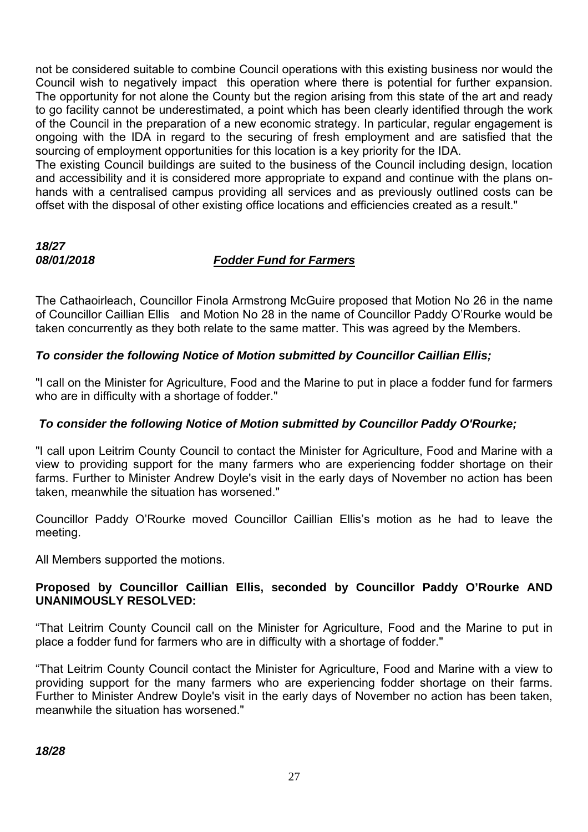not be considered suitable to combine Council operations with this existing business nor would the Council wish to negatively impact this operation where there is potential for further expansion. The opportunity for not alone the County but the region arising from this state of the art and ready to go facility cannot be underestimated, a point which has been clearly identified through the work of the Council in the preparation of a new economic strategy. In particular, regular engagement is ongoing with the IDA in regard to the securing of fresh employment and are satisfied that the sourcing of employment opportunities for this location is a key priority for the IDA.

The existing Council buildings are suited to the business of the Council including design, location and accessibility and it is considered more appropriate to expand and continue with the plans onhands with a centralised campus providing all services and as previously outlined costs can be offset with the disposal of other existing office locations and efficiencies created as a result."

# *18/27*

# *08/01/2018 Fodder Fund for Farmers*

The Cathaoirleach, Councillor Finola Armstrong McGuire proposed that Motion No 26 in the name of Councillor Caillian Ellis and Motion No 28 in the name of Councillor Paddy O'Rourke would be taken concurrently as they both relate to the same matter. This was agreed by the Members.

# *To consider the following Notice of Motion submitted by Councillor Caillian Ellis;*

"I call on the Minister for Agriculture, Food and the Marine to put in place a fodder fund for farmers who are in difficulty with a shortage of fodder."

# *To consider the following Notice of Motion submitted by Councillor Paddy O'Rourke;*

"I call upon Leitrim County Council to contact the Minister for Agriculture, Food and Marine with a view to providing support for the many farmers who are experiencing fodder shortage on their farms. Further to Minister Andrew Doyle's visit in the early days of November no action has been taken, meanwhile the situation has worsened."

Councillor Paddy O'Rourke moved Councillor Caillian Ellis's motion as he had to leave the meeting.

All Members supported the motions.

# **Proposed by Councillor Caillian Ellis, seconded by Councillor Paddy O'Rourke AND UNANIMOUSLY RESOLVED:**

"That Leitrim County Council call on the Minister for Agriculture, Food and the Marine to put in place a fodder fund for farmers who are in difficulty with a shortage of fodder."

"That Leitrim County Council contact the Minister for Agriculture, Food and Marine with a view to providing support for the many farmers who are experiencing fodder shortage on their farms. Further to Minister Andrew Doyle's visit in the early days of November no action has been taken, meanwhile the situation has worsened."